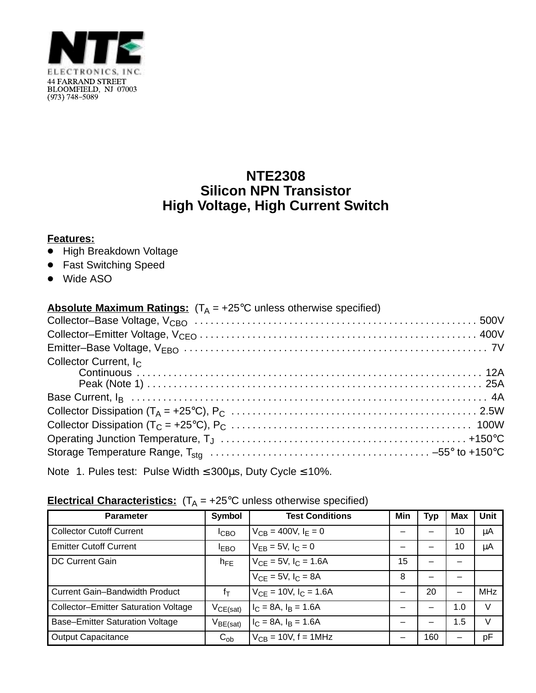

## **NTE2308 Silicon NPN Transistor High Voltage, High Current Switch**

## **Features:**

- High Breakdown Voltage
- Fast Switching Speed
- Wide ASO

| <b>Absolute Maximum Ratings:</b> $(T_A = +25^{\circ}C$ unless otherwise specified) |  |
|------------------------------------------------------------------------------------|--|
|                                                                                    |  |
|                                                                                    |  |
|                                                                                    |  |
| Collector Current, $I_C$                                                           |  |
|                                                                                    |  |
|                                                                                    |  |
|                                                                                    |  |
|                                                                                    |  |
|                                                                                    |  |
|                                                                                    |  |

Note 1. Pules test: Pulse Width ≤ 300µs, Duty Cycle ≤ 10%.

## **Electrical Characteristics:**  $(T_A = +25^\circ C$  unless otherwise specified)

| <b>Parameter</b>                            | <b>Symbol</b> | <b>Test Conditions</b>        | Min | <b>Typ</b> | <b>Max</b> | Unit       |
|---------------------------------------------|---------------|-------------------------------|-----|------------|------------|------------|
| <b>Collector Cutoff Current</b>             | ICBO          | $V_{CB} = 400V, I_F = 0$      |     |            | 10         | μA         |
| <b>Emitter Cutoff Current</b>               | <b>LEBO</b>   | $V_{FB} = 5V, I_C = 0$        |     |            | 10         | μA         |
| DC Current Gain                             | $h_{FE}$      | $V_{CF} = 5V$ , $I_C = 1.6A$  | 15  |            |            |            |
|                                             |               | $V_{CF} = 5V$ , $I_C = 8A$    | 8   |            |            |            |
| <b>Current Gain-Bandwidth Product</b>       | $f_T$         | $V_{CF} = 10V$ , $I_C = 1.6A$ |     | 20         | —          | <b>MHz</b> |
| <b>Collector-Emitter Saturation Voltage</b> | $V_{CE(sat)}$ | $I_C = 8A$ , $I_B = 1.6A$     |     |            | 1.0        | $\vee$     |
| <b>Base-Emitter Saturation Voltage</b>      | $V_{BE(sat)}$ | $I_C = 8A$ , $I_B = 1.6A$     |     |            | 1.5        | $\vee$     |
| <b>Output Capacitance</b>                   | $C_{ob}$      | $V_{CB}$ = 10V, f = 1MHz      |     | 160        |            | pF         |